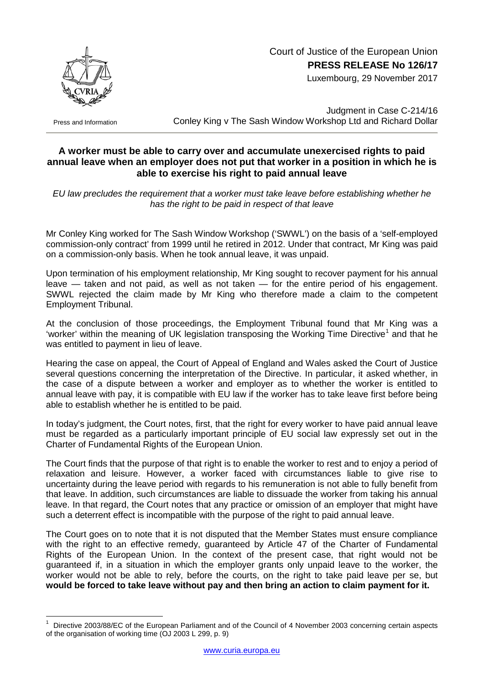

 Court of Justice of the European Union **PRESS RELEASE No 126/17**

Luxembourg, 29 November 2017

Press and Information

Judgment in Case C-214/16 Conley King v The Sash Window Workshop Ltd and Richard Dollar

## **A worker must be able to carry over and accumulate unexercised rights to paid annual leave when an employer does not put that worker in a position in which he is able to exercise his right to paid annual leave**

*EU law precludes the requirement that a worker must take leave before establishing whether he has the right to be paid in respect of that leave*

Mr Conley King worked for The Sash Window Workshop ('SWWL') on the basis of a 'self-employed commission-only contract' from 1999 until he retired in 2012. Under that contract, Mr King was paid on a commission-only basis. When he took annual leave, it was unpaid.

Upon termination of his employment relationship, Mr King sought to recover payment for his annual leave — taken and not paid, as well as not taken — for the entire period of his engagement. SWWL rejected the claim made by Mr King who therefore made a claim to the competent Employment Tribunal.

At the conclusion of those proceedings, the Employment Tribunal found that Mr King was a 'worker' within the meaning of UK legislation transposing the Working Time Directive<sup>[1](#page-0-0)</sup> and that he was entitled to payment in lieu of leave.

Hearing the case on appeal, the Court of Appeal of England and Wales asked the Court of Justice several questions concerning the interpretation of the Directive. In particular, it asked whether, in the case of a dispute between a worker and employer as to whether the worker is entitled to annual leave with pay, it is compatible with EU law if the worker has to take leave first before being able to establish whether he is entitled to be paid.

In today's judgment, the Court notes, first, that the right for every worker to have paid annual leave must be regarded as a particularly important principle of EU social law expressly set out in the Charter of Fundamental Rights of the European Union.

The Court finds that the purpose of that right is to enable the worker to rest and to enjoy a period of relaxation and leisure. However, a worker faced with circumstances liable to give rise to uncertainty during the leave period with regards to his remuneration is not able to fully benefit from that leave. In addition, such circumstances are liable to dissuade the worker from taking his annual leave. In that regard, the Court notes that any practice or omission of an employer that might have such a deterrent effect is incompatible with the purpose of the right to paid annual leave.

The Court goes on to note that it is not disputed that the Member States must ensure compliance with the right to an effective remedy, quaranteed by Article 47 of the Charter of Fundamental Rights of the European Union. In the context of the present case, that right would not be guaranteed if, in a situation in which the employer grants only unpaid leave to the worker, the worker would not be able to rely, before the courts, on the right to take paid leave per se, but **would be forced to take leave without pay and then bring an action to claim payment for it.**

<span id="page-0-0"></span>Directive 2003/88/EC of the European Parliament and of the Council of 4 November 2003 concerning certain aspects of the organisation of working time (OJ 2003 L 299, p. 9)